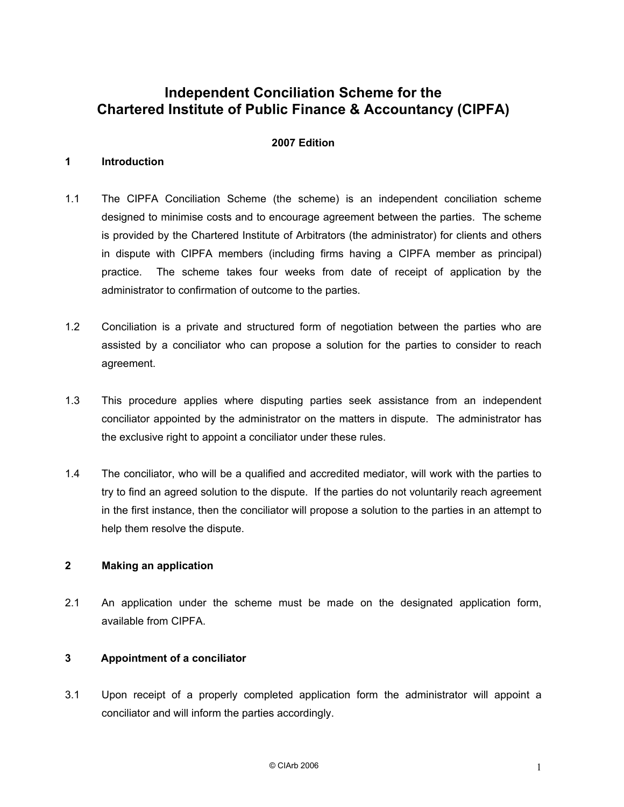# **Independent Conciliation Scheme for the Chartered Institute of Public Finance & Accountancy (CIPFA)**

#### **2007 Edition**

#### **1 Introduction**

- 1.1 The CIPFA Conciliation Scheme (the scheme) is an independent conciliation scheme designed to minimise costs and to encourage agreement between the parties. The scheme is provided by the Chartered Institute of Arbitrators (the administrator) for clients and others in dispute with CIPFA members (including firms having a CIPFA member as principal) practice. The scheme takes four weeks from date of receipt of application by the administrator to confirmation of outcome to the parties.
- 1.2 Conciliation is a private and structured form of negotiation between the parties who are assisted by a conciliator who can propose a solution for the parties to consider to reach agreement.
- 1.3 This procedure applies where disputing parties seek assistance from an independent conciliator appointed by the administrator on the matters in dispute. The administrator has the exclusive right to appoint a conciliator under these rules.
- 1.4 The conciliator, who will be a qualified and accredited mediator, will work with the parties to try to find an agreed solution to the dispute. If the parties do not voluntarily reach agreement in the first instance, then the conciliator will propose a solution to the parties in an attempt to help them resolve the dispute.

## **2 Making an application**

2.1 An application under the scheme must be made on the designated application form, available from CIPFA.

### **3 Appointment of a conciliator**

3.1 Upon receipt of a properly completed application form the administrator will appoint a conciliator and will inform the parties accordingly.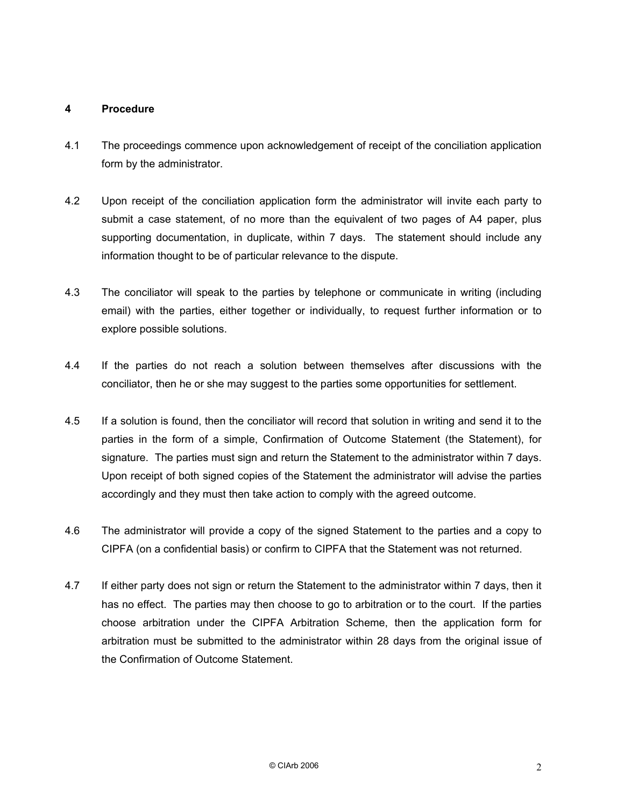### **4 Procedure**

- 4.1 The proceedings commence upon acknowledgement of receipt of the conciliation application form by the administrator.
- 4.2 Upon receipt of the conciliation application form the administrator will invite each party to submit a case statement, of no more than the equivalent of two pages of A4 paper, plus supporting documentation, in duplicate, within 7 days. The statement should include any information thought to be of particular relevance to the dispute.
- 4.3 The conciliator will speak to the parties by telephone or communicate in writing (including email) with the parties, either together or individually, to request further information or to explore possible solutions.
- 4.4 If the parties do not reach a solution between themselves after discussions with the conciliator, then he or she may suggest to the parties some opportunities for settlement.
- 4.5 If a solution is found, then the conciliator will record that solution in writing and send it to the parties in the form of a simple, Confirmation of Outcome Statement (the Statement), for signature. The parties must sign and return the Statement to the administrator within 7 days. Upon receipt of both signed copies of the Statement the administrator will advise the parties accordingly and they must then take action to comply with the agreed outcome.
- 4.6 The administrator will provide a copy of the signed Statement to the parties and a copy to CIPFA (on a confidential basis) or confirm to CIPFA that the Statement was not returned.
- 4.7 If either party does not sign or return the Statement to the administrator within 7 days, then it has no effect. The parties may then choose to go to arbitration or to the court. If the parties choose arbitration under the CIPFA Arbitration Scheme, then the application form for arbitration must be submitted to the administrator within 28 days from the original issue of the Confirmation of Outcome Statement.